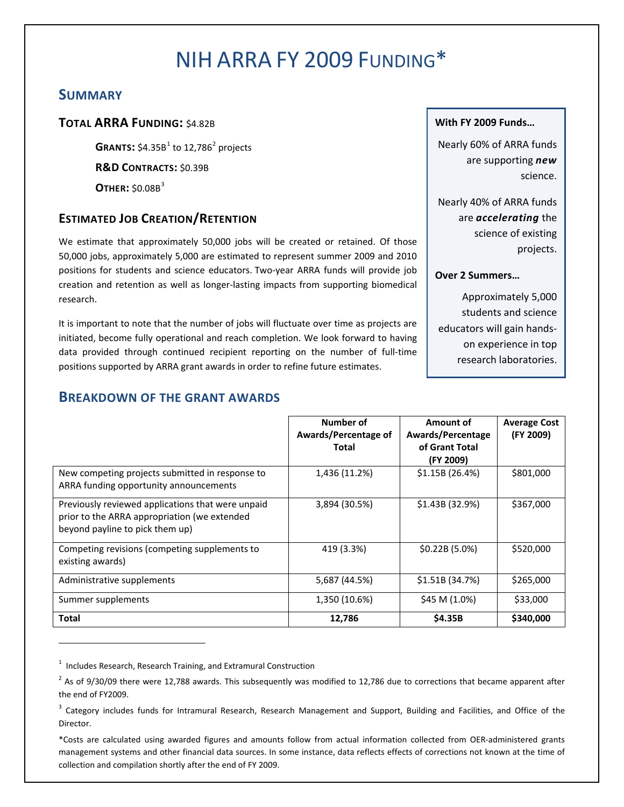# NIH ARRA FY 2009 FUNDING\*

# **SUMMARY**

# **TOTAL ARRA FUNDING:** \$4.82B

**GRANTS:**  $$4.35B<sup>1</sup>$  $$4.35B<sup>1</sup>$  $$4.35B<sup>1</sup>$  to 1[2](#page-0-1),786<sup>2</sup> projects **R&D CONTRACTS:** \$0.39B

**OTHER:** \$0.08B<sup>[3](#page-0-2)</sup>

# **ESTIMATED JOB CREATION/RETENTION**

We estimate that approximately 50,000 jobs will be created or retained. Of those 50,000 jobs, approximately 5,000 are estimated to represent summer 2009 and 2010 positions for students and science educators. Two-year ARRA funds will provide job creation and retention as well as longer-lasting impacts from supporting biomedical research.

It is important to note that the number of jobs will fluctuate over time as projects are initiated, become fully operational and reach completion. We look forward to having data provided through continued recipient reporting on the number of full-time positions supported by ARRA grant awards in order to refine future estimates.

### **With FY 2009 Funds…**

Nearly 60% of ARRA funds are supporting *new* science.

Nearly 40% of ARRA funds are *accelerating* the science of existing projects.

#### **Over 2 Summers…**

Approximately 5,000 students and science educators will gain handson experience in top research laboratories.

# **BREAKDOWN OF THE GRANT AWARDS**

|                                                                                                                                      | Number of<br>Awards/Percentage of<br>Total | Amount of<br>Awards/Percentage<br>of Grant Total<br>(FY 2009) | <b>Average Cost</b><br>(FY 2009) |
|--------------------------------------------------------------------------------------------------------------------------------------|--------------------------------------------|---------------------------------------------------------------|----------------------------------|
| New competing projects submitted in response to<br>ARRA funding opportunity announcements                                            | 1,436 (11.2%)                              | \$1.15B (26.4%)                                               | \$801,000                        |
| Previously reviewed applications that were unpaid<br>prior to the ARRA appropriation (we extended<br>beyond payline to pick them up) | 3,894 (30.5%)                              | \$1.43B (32.9%)                                               | \$367,000                        |
| Competing revisions (competing supplements to<br>existing awards)                                                                    | 419 (3.3%)                                 | $$0.22B(5.0\%)$                                               | \$520,000                        |
| Administrative supplements                                                                                                           | 5,687 (44.5%)                              | \$1.51B (34.7%)                                               | \$265,000                        |
| Summer supplements                                                                                                                   | 1,350 (10.6%)                              | \$45 M $(1.0%)$                                               | \$33,000                         |
| Total                                                                                                                                | 12,786                                     | <b>S4.35B</b>                                                 | \$340,000                        |

<span id="page-0-0"></span> $1$  Includes Research, Research Training, and Extramural Construction

 $\overline{a}$ 

<span id="page-0-1"></span> $^{2}$  As of 9/30/09 there were 12,788 awards. This subsequently was modified to 12,786 due to corrections that became apparent after the end of FY2009.

<span id="page-0-2"></span><sup>&</sup>lt;sup>3</sup> Category includes funds for Intramural Research, Research Management and Support, Building and Facilities, and Office of the Director.

<sup>\*</sup>Costs are calculated using awarded figures and amounts follow from actual information collected from OER-administered grants management systems and other financial data sources. In some instance, data reflects effects of corrections not known at the time of collection and compilation shortly after the end of FY 2009.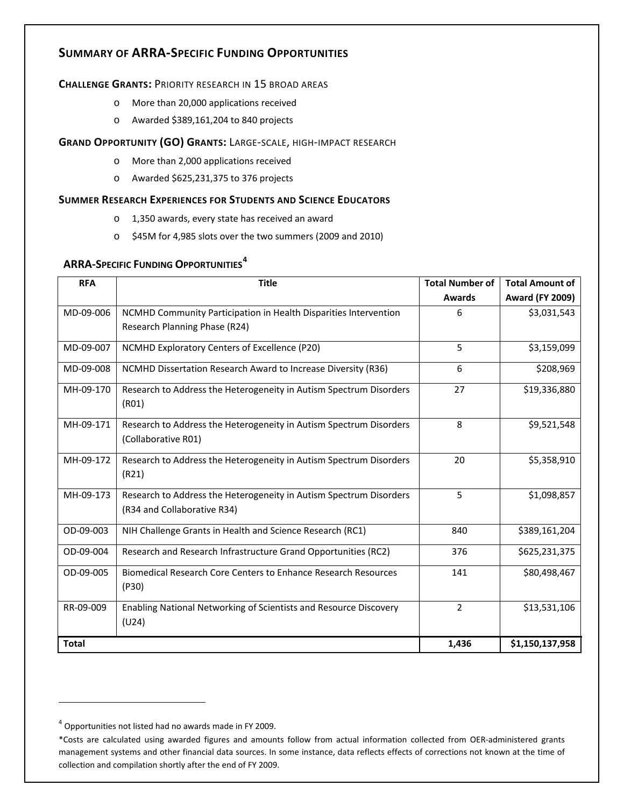# **SUMMARY OF ARRA-SPECIFIC FUNDING OPPORTUNITIES**

#### **CHALLENGE GRANTS:** PRIORITY RESEARCH IN 15 BROAD AREAS

- o More than 20,000 applications received
- o Awarded \$389,161,204 to 840 projects

#### **GRAND OPPORTUNITY (GO) GRANTS:** LARGE-SCALE, HIGH-IMPACT RESEARCH

- o More than 2,000 applications received
- o Awarded \$625,231,375 to 376 projects

#### **SUMMER RESEARCH EXPERIENCES FOR STUDENTS AND SCIENCE EDUCATORS**

- o 1,350 awards, every state has received an award
- o \$45M for 4,985 slots over the two summers (2009 and 2010)

## **ARRA-SPECIFIC FUNDING OPPORTUNITIES[4](#page-1-0)**

| <b>RFA</b>   | <b>Title</b>                                                                                      | <b>Total Number of</b> | <b>Total Amount of</b> |
|--------------|---------------------------------------------------------------------------------------------------|------------------------|------------------------|
|              |                                                                                                   | <b>Awards</b>          | <b>Award (FY 2009)</b> |
| MD-09-006    | NCMHD Community Participation in Health Disparities Intervention                                  | 6                      | \$3,031,543            |
|              | Research Planning Phase (R24)                                                                     |                        |                        |
| MD-09-007    | NCMHD Exploratory Centers of Excellence (P20)                                                     | 5                      | \$3,159,099            |
| MD-09-008    | NCMHD Dissertation Research Award to Increase Diversity (R36)                                     | 6                      | \$208,969              |
| MH-09-170    | Research to Address the Heterogeneity in Autism Spectrum Disorders<br>(R01)                       | 27                     | \$19,336,880           |
| MH-09-171    | Research to Address the Heterogeneity in Autism Spectrum Disorders<br>(Collaborative R01)         | 8                      | \$9,521,548            |
| MH-09-172    | Research to Address the Heterogeneity in Autism Spectrum Disorders<br>(R21)                       | 20                     | \$5,358,910            |
| MH-09-173    | Research to Address the Heterogeneity in Autism Spectrum Disorders<br>(R34 and Collaborative R34) | 5                      | \$1,098,857            |
| OD-09-003    | NIH Challenge Grants in Health and Science Research (RC1)                                         | 840                    | \$389,161,204          |
| OD-09-004    | Research and Research Infrastructure Grand Opportunities (RC2)                                    | 376                    | \$625,231,375          |
| OD-09-005    | Biomedical Research Core Centers to Enhance Research Resources<br>(P30)                           | 141                    | \$80,498,467           |
| RR-09-009    | Enabling National Networking of Scientists and Resource Discovery<br>(U24)                        | $\overline{2}$         | \$13,531,106           |
| <b>Total</b> |                                                                                                   | 1,436                  | \$1,150,137,958        |

 $\overline{a}$ 

<span id="page-1-0"></span><sup>4</sup> Opportunities not listed had no awards made in FY 2009.

<sup>\*</sup>Costs are calculated using awarded figures and amounts follow from actual information collected from OER-administered grants management systems and other financial data sources. In some instance, data reflects effects of corrections not known at the time of collection and compilation shortly after the end of FY 2009.